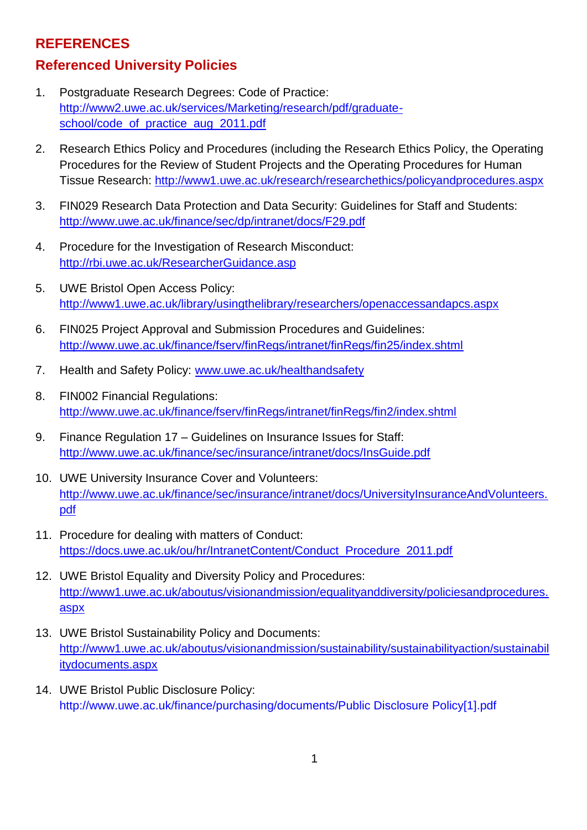## **REFERENCES**

## **Referenced University Policies**

- 1. Postgraduate Research Degrees: Code of Practice: [http://www2.uwe.ac.uk/services/Marketing/research/pdf/graduate](http://www2.uwe.ac.uk/services/Marketing/research/pdf/graduate-school/code_of_practice_aug_2011.pdf)[school/code\\_of\\_practice\\_aug\\_2011.pdf](http://www2.uwe.ac.uk/services/Marketing/research/pdf/graduate-school/code_of_practice_aug_2011.pdf)
- 2. Research Ethics Policy and Procedures (including the Research Ethics Policy, the Operating Procedures for the Review of Student Projects and the Operating Procedures for Human Tissue Research:<http://www1.uwe.ac.uk/research/researchethics/policyandprocedures.aspx>
- 3. FIN029 Research Data Protection and Data Security: Guidelines for Staff and Students: <http://www.uwe.ac.uk/finance/sec/dp/intranet/docs/F29.pdf>
- 4. Procedure for the Investigation of Research Misconduct: <http://rbi.uwe.ac.uk/ResearcherGuidance.asp>
- 5. UWE Bristol Open Access Policy: <http://www1.uwe.ac.uk/library/usingthelibrary/researchers/openaccessandapcs.aspx>
- 6. FIN025 Project Approval and Submission Procedures and Guidelines: <http://www.uwe.ac.uk/finance/fserv/finRegs/intranet/finRegs/fin25/index.shtml>
- 7. Health and Safety Policy: [www.uwe.ac.uk/healthandsafety](http://www.uwe.ac.uk/healthandsafety)
- 8. FIN002 Financial Regulations: <http://www.uwe.ac.uk/finance/fserv/finRegs/intranet/finRegs/fin2/index.shtml>
- 9. Finance Regulation 17 Guidelines on Insurance Issues for Staff: <http://www.uwe.ac.uk/finance/sec/insurance/intranet/docs/InsGuide.pdf>
- 10. UWE University Insurance Cover and Volunteers: [http://www.uwe.ac.uk/finance/sec/insurance/intranet/docs/UniversityInsuranceAndVolunteers.](http://www.uwe.ac.uk/finance/sec/insurance/intranet/docs/UniversityInsuranceAndVolunteers.pdf) [pdf](http://www.uwe.ac.uk/finance/sec/insurance/intranet/docs/UniversityInsuranceAndVolunteers.pdf)
- 11. Procedure for dealing with matters of Conduct: [https://docs.uwe.ac.uk/ou/hr/IntranetContent/Conduct\\_Procedure\\_2011.pdf](https://docs.uwe.ac.uk/ou/hr/IntranetContent/Conduct_Procedure_2011.pdf)
- 12. UWE Bristol Equality and Diversity Policy and Procedures: [http://www1.uwe.ac.uk/aboutus/visionandmission/equalityanddiversity/policiesandprocedures.](http://www1.uwe.ac.uk/aboutus/visionandmission/equalityanddiversity/policiesandprocedures.aspx) [aspx](http://www1.uwe.ac.uk/aboutus/visionandmission/equalityanddiversity/policiesandprocedures.aspx)
- 13. UWE Bristol Sustainability Policy and Documents: [http://www1.uwe.ac.uk/aboutus/visionandmission/sustainability/sustainabilityaction/sustainabil](http://www1.uwe.ac.uk/aboutus/visionandmission/sustainability/sustainabilityaction/sustainabilitydocuments.aspx) [itydocuments.aspx](http://www1.uwe.ac.uk/aboutus/visionandmission/sustainability/sustainabilityaction/sustainabilitydocuments.aspx)
- 14. UWE Bristol Public Disclosure Policy: [http://www.uwe.ac.uk/finance/purchasing/documents/Public Disclosure Policy\[1\].pdf](http://www.uwe.ac.uk/finance/purchasing/documents/Public%20Disclosure%20Policy%5b1%5d.pdf)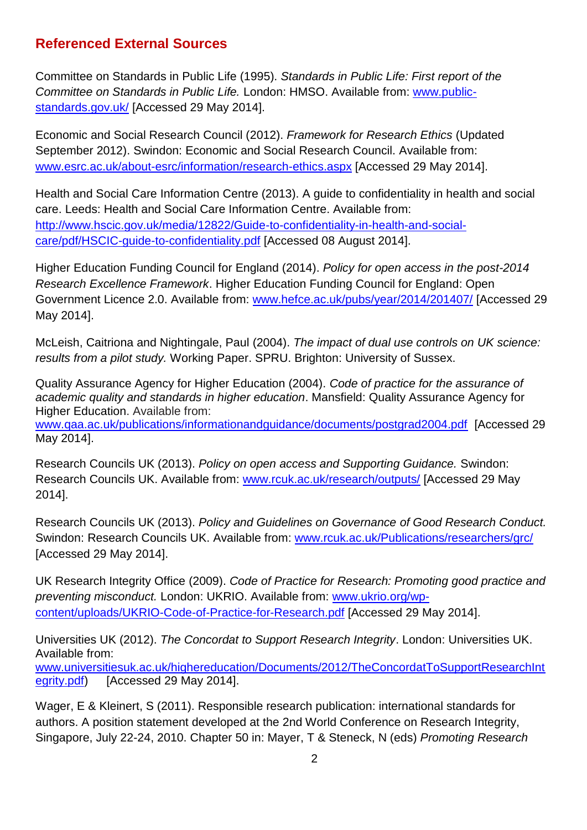## **Referenced External Sources**

Committee on Standards in Public Life (1995). *Standards in Public Life: First report of the Committee on Standards in Public Life.* London: HMSO. Available from: [www.public](http://www.public-standards.gov.uk/)[standards.gov.uk/](http://www.public-standards.gov.uk/) [Accessed 29 May 2014].

Economic and Social Research Council (2012). *Framework for Research Ethics* (Updated September 2012). Swindon: Economic and Social Research Council. Available from: [www.esrc.ac.uk/about-esrc/information/research-ethics.aspx](http://www.esrc.ac.uk/about-esrc/information/research-ethics.aspx) [Accessed 29 May 2014].

Health and Social Care Information Centre (2013). A guide to confidentiality in health and social care. Leeds: Health and Social Care Information Centre. Available from: [http://www.hscic.gov.uk/media/12822/Guide-to-confidentiality-in-health-and-social](http://www.hscic.gov.uk/media/12822/Guide-to-confidentiality-in-health-and-social-care/pdf/HSCIC-guide-to-confidentiality.pdf)[care/pdf/HSCIC-guide-to-confidentiality.pdf](http://www.hscic.gov.uk/media/12822/Guide-to-confidentiality-in-health-and-social-care/pdf/HSCIC-guide-to-confidentiality.pdf) [Accessed 08 August 2014].

Higher Education Funding Council for England (2014). *Policy for open access in the post-2014 Research Excellence Framework*. Higher Education Funding Council for England: Open Government Licence 2.0. Available from: [www.hefce.ac.uk/pubs/year/2014/201407/](http://www.hefce.ac.uk/pubs/year/2014/201407/) [Accessed 29 May 2014].

McLeish, Caitriona and Nightingale, Paul (2004). *The impact of dual use controls on UK science: results from a pilot study.* Working Paper. SPRU. Brighton: University of Sussex.

Quality Assurance Agency for Higher Education (2004). *Code of practice for the assurance of academic quality and standards in higher education*. Mansfield: Quality Assurance Agency for Higher Education. Available from: [www.qaa.ac.uk/publications/informationandguidance/documents/postgrad2004.pdf](http://www.qaa.ac.uk/publications/informationandguidance/documents/postgrad2004.pdf) [Accessed 29

May 2014].

Research Councils UK (2013). *Policy on open access and Supporting Guidance.* Swindon: Research Councils UK. Available from: [www.rcuk.ac.uk/research/outputs/](http://www.rcuk.ac.uk/research/outputs/) [Accessed 29 May 2014].

Research Councils UK (2013). *Policy and Guidelines on Governance of Good Research Conduct.* Swindon: Research Councils UK. Available from: [www.rcuk.ac.uk/Publications/researchers/grc/](http://www.rcuk.ac.uk/Publications/researchers/grc/) [Accessed 29 May 2014].

UK Research Integrity Office (2009). *Code of Practice for Research: Promoting good practice and preventing misconduct.* London: UKRIO. Available from: [www.ukrio.org/wp](http://www.ukrio.org/wp-content/uploads/UKRIO-Code-of-Practice-for-Research.pdf)[content/uploads/UKRIO-Code-of-Practice-for-Research.pdf](http://www.ukrio.org/wp-content/uploads/UKRIO-Code-of-Practice-for-Research.pdf) [Accessed 29 May 2014].

Universities UK (2012). *The Concordat to Support Research Integrity*. London: Universities UK. Available from: [www.universitiesuk.ac.uk/highereducation/Documents/2012/TheConcordatToSupportResearchInt](http://www.universitiesuk.ac.uk/highereducation/Documents/2012/TheConcordatToSupportResearchIntegrity.pdf) [egrity.pdf\)](http://www.universitiesuk.ac.uk/highereducation/Documents/2012/TheConcordatToSupportResearchIntegrity.pdf) [Accessed 29 May 2014].

Wager, E & Kleinert, S (2011). Responsible research publication: international standards for authors. A position statement developed at the 2nd World Conference on Research Integrity, Singapore, July 22-24, 2010. Chapter 50 in: Mayer, T & Steneck, N (eds) *Promoting Research*